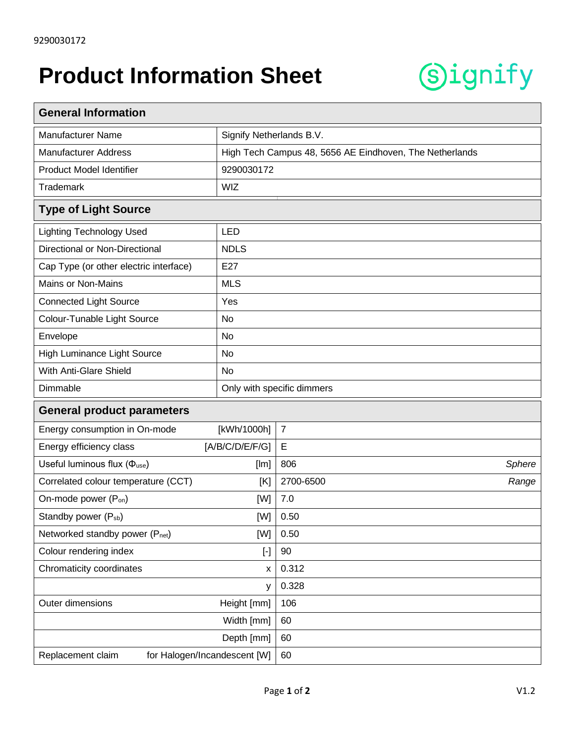## **Product Information Sheet**



| <b>General Information</b>                                                                                                                                                                                                                                                                                                                                                                                                                                                                                                                                                                                                                                                                                                                                                                                 |                                                         |                |        |  |
|------------------------------------------------------------------------------------------------------------------------------------------------------------------------------------------------------------------------------------------------------------------------------------------------------------------------------------------------------------------------------------------------------------------------------------------------------------------------------------------------------------------------------------------------------------------------------------------------------------------------------------------------------------------------------------------------------------------------------------------------------------------------------------------------------------|---------------------------------------------------------|----------------|--------|--|
| <b>Manufacturer Name</b>                                                                                                                                                                                                                                                                                                                                                                                                                                                                                                                                                                                                                                                                                                                                                                                   | Signify Netherlands B.V.                                |                |        |  |
| <b>Manufacturer Address</b>                                                                                                                                                                                                                                                                                                                                                                                                                                                                                                                                                                                                                                                                                                                                                                                | High Tech Campus 48, 5656 AE Eindhoven, The Netherlands |                |        |  |
| Product Model Identifier                                                                                                                                                                                                                                                                                                                                                                                                                                                                                                                                                                                                                                                                                                                                                                                   | 9290030172                                              |                |        |  |
| <b>Trademark</b>                                                                                                                                                                                                                                                                                                                                                                                                                                                                                                                                                                                                                                                                                                                                                                                           | <b>WIZ</b>                                              |                |        |  |
| <b>Type of Light Source</b>                                                                                                                                                                                                                                                                                                                                                                                                                                                                                                                                                                                                                                                                                                                                                                                |                                                         |                |        |  |
| <b>Lighting Technology Used</b>                                                                                                                                                                                                                                                                                                                                                                                                                                                                                                                                                                                                                                                                                                                                                                            | <b>LED</b>                                              |                |        |  |
| Directional or Non-Directional                                                                                                                                                                                                                                                                                                                                                                                                                                                                                                                                                                                                                                                                                                                                                                             | <b>NDLS</b>                                             |                |        |  |
| Cap Type (or other electric interface)                                                                                                                                                                                                                                                                                                                                                                                                                                                                                                                                                                                                                                                                                                                                                                     | E27                                                     |                |        |  |
| <b>Mains or Non-Mains</b>                                                                                                                                                                                                                                                                                                                                                                                                                                                                                                                                                                                                                                                                                                                                                                                  | <b>MLS</b>                                              |                |        |  |
| <b>Connected Light Source</b>                                                                                                                                                                                                                                                                                                                                                                                                                                                                                                                                                                                                                                                                                                                                                                              | Yes                                                     |                |        |  |
| Colour-Tunable Light Source                                                                                                                                                                                                                                                                                                                                                                                                                                                                                                                                                                                                                                                                                                                                                                                | No                                                      |                |        |  |
| Envelope                                                                                                                                                                                                                                                                                                                                                                                                                                                                                                                                                                                                                                                                                                                                                                                                   | No                                                      |                |        |  |
| High Luminance Light Source                                                                                                                                                                                                                                                                                                                                                                                                                                                                                                                                                                                                                                                                                                                                                                                | No                                                      |                |        |  |
| With Anti-Glare Shield                                                                                                                                                                                                                                                                                                                                                                                                                                                                                                                                                                                                                                                                                                                                                                                     | <b>No</b>                                               |                |        |  |
| Dimmable                                                                                                                                                                                                                                                                                                                                                                                                                                                                                                                                                                                                                                                                                                                                                                                                   | Only with specific dimmers                              |                |        |  |
| <b>General product parameters</b>                                                                                                                                                                                                                                                                                                                                                                                                                                                                                                                                                                                                                                                                                                                                                                          |                                                         |                |        |  |
| Energy consumption in On-mode                                                                                                                                                                                                                                                                                                                                                                                                                                                                                                                                                                                                                                                                                                                                                                              | [kWh/1000h]                                             | $\overline{7}$ |        |  |
| Energy efficiency class<br>[A/B/C/D/E/F/G]                                                                                                                                                                                                                                                                                                                                                                                                                                                                                                                                                                                                                                                                                                                                                                 |                                                         | E              |        |  |
| Useful luminous flux ( $\Phi_{use}$ )<br>[Im]                                                                                                                                                                                                                                                                                                                                                                                                                                                                                                                                                                                                                                                                                                                                                              |                                                         | 806            | Sphere |  |
| Correlated colour temperature (CCT)<br>[K]                                                                                                                                                                                                                                                                                                                                                                                                                                                                                                                                                                                                                                                                                                                                                                 |                                                         | 2700-6500      | Range  |  |
| On-mode power (P <sub>on</sub> )<br>[W]                                                                                                                                                                                                                                                                                                                                                                                                                                                                                                                                                                                                                                                                                                                                                                    |                                                         | 7.0            |        |  |
| Standby power (P <sub>sb</sub> )<br>[W]                                                                                                                                                                                                                                                                                                                                                                                                                                                                                                                                                                                                                                                                                                                                                                    |                                                         | 0.50           |        |  |
| Networked standby power (Pnet)<br>[W]                                                                                                                                                                                                                                                                                                                                                                                                                                                                                                                                                                                                                                                                                                                                                                      |                                                         | 0.50           |        |  |
| Colour rendering index<br>$[\cdot] % \centering \includegraphics[width=0.9\textwidth]{images/TrDiS/N-Architecture.png} % \caption{The first two different values of $N$ in the \mbox{thick model} and the second two different values of $N$ in the \mbox{thick model} and the second two different values of $N$ in the \mbox{thick model} and the second two different values of $N$ in the \mbox{thick model} and the second two different values of $N$ in the \mbox{thick model} and the second two different values of $N$ in the \mbox{thick model} and the third two different values of $N$ in the \mbox{thick model} and the third two different values of $N$ in the \mbox{thick model} and the third two different values of $N$ in the \mbox{thick model} and the third two different values$ |                                                         | 90             |        |  |
| Chromaticity coordinates<br>$\boldsymbol{\mathsf{x}}$                                                                                                                                                                                                                                                                                                                                                                                                                                                                                                                                                                                                                                                                                                                                                      |                                                         | 0.312          |        |  |
| у                                                                                                                                                                                                                                                                                                                                                                                                                                                                                                                                                                                                                                                                                                                                                                                                          |                                                         | 0.328          |        |  |
| Outer dimensions<br>Height [mm]                                                                                                                                                                                                                                                                                                                                                                                                                                                                                                                                                                                                                                                                                                                                                                            |                                                         | 106            |        |  |
| Width [mm]                                                                                                                                                                                                                                                                                                                                                                                                                                                                                                                                                                                                                                                                                                                                                                                                 |                                                         | 60             |        |  |
| Depth [mm]                                                                                                                                                                                                                                                                                                                                                                                                                                                                                                                                                                                                                                                                                                                                                                                                 |                                                         | 60             |        |  |
| Replacement claim<br>for Halogen/Incandescent [W]                                                                                                                                                                                                                                                                                                                                                                                                                                                                                                                                                                                                                                                                                                                                                          |                                                         | 60             |        |  |